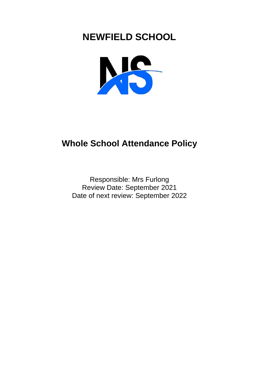# **NEWFIELD SCHOOL**



## **Whole School Attendance Policy**

Responsible: Mrs Furlong Review Date: September 2021 Date of next review: September 2022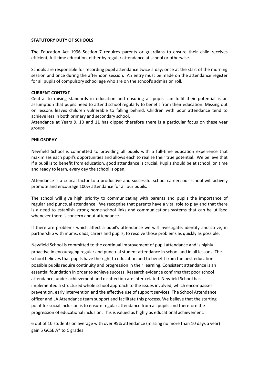#### **STATUTORY DUTY OF SCHOOLS**

The Education Act 1996 Section 7 requires parents or guardians to ensure their child receives efficient, full-time education, either by regular attendance at school or otherwise.

Schools are responsible for recording pupil attendance twice a day; once at the start of the morning session and once during the afternoon session. An entry must be made on the attendance register for all pupils of compulsory school age who are on the school's admission roll.

#### **CURRENT CONTEXT**

Central to raising standards in education and ensuring all pupils can fulfil their potential is an assumption that pupils need to attend school regularly to benefit from their education. Missing out on lessons leaves children vulnerable to falling behind. Children with poor attendance tend to achieve less in both primary and secondary school.

Attendance at Years 9, 10 and 11 has dipped therefore there is a particular focus on these year groups

#### **PHILOSOPHY**

Newfield School is committed to providing all pupils with a full-time education experience that maximises each pupil's opportunities and allows each to realise their true potential. We believe that if a pupil is to benefit from education, good attendance is crucial. Pupils should be at school, on time and ready to learn, every day the school is open.

Attendance is a critical factor to a productive and successful school career; our school will actively promote and encourage 100% attendance for all our pupils.

The school will give high priority to communicating with parents and pupils the importance of regular and punctual attendance. We recognise that parents have a vital role to play and that there is a need to establish strong home-school links and communications systems that can be utilised whenever there is concern about attendance.

If there are problems which affect a pupil's attendance we will investigate, identify and strive, in partnership with mums, dads, carers and pupils, to resolve those problems as quickly as possible.

Newfield School is committed to the continual improvement of pupil attendance and is highly proactive in encouraging regular and punctual student attendance in school and in all lessons. The school believes that pupils have the right to education and to benefit from the best education possible pupils require continuity and progression in their learning. Consistent attendance is an essential foundation in order to achieve success. Research evidence confirms that poor school attendance, under achievement and disaffection are inter-related. Newfield School has implemented a structured whole school approach to the issues involved, which encompasses prevention, early intervention and the effective use of support services. The School Attendance officer and LA Attendance team support and facilitate this process. We believe that the starting point for social inclusion is to ensure regular attendance from all pupils and therefore the progression of educational inclusion. This is valued as highly as educational achievement.

6 out of 10 students on average with over 95% attendance (missing no more than 10 days a year) gain 5 GCSE A\* to C grades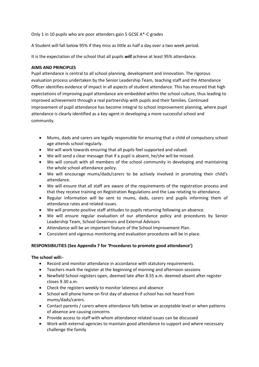Only 1 in 10 pupils who are poor attenders gain 5 GCSE A\*-C grades

A Student will fall below 95% if they miss as little as half a day over a two week period.

It is the expectation of the school that all pupils *will* achieve at least 95% attendance.

## **AIMS AND PRINCIPLES**

Pupil attendance is central to all school planning, development and innovation. The rigorous evaluation process undertaken by the Senior Leadership Team, teaching staff and the Attendance Officer identifies evidence of impact in all aspects of student attendance. This has ensured that high expectations of improving pupil attendance are embedded within the school culture, thus leading to improved achievement through a real partnership with pupils and their families. Continued improvement of pupil attendance has become integral to school improvement planning, where pupil attendance is clearly identified as a key agent in developing a more successful school and community.

- Mums, dads and carers are legally responsible for ensuring that a child of compulsory school age attends school regularly.
- We will work towards ensuring that all pupils feel supported and valued.
- We will send a clear message that if a pupil is absent, he/she will be missed.
- We will consult with all members of the school community in developing and maintaining the whole school attendance policy.
- We will encourage mums/dads/carers to be actively involved in promoting their child's attendance.
- We will ensure that all staff are aware of the requirements of the registration process and that they receive training on Registration Regulations and the Law relating to attendance.
- Regular information will be sent to mums, dads, carers and pupils informing them of attendance rates and related issues.
- We will promote positive staff attitudes to pupils returning following an absence.
- We will ensure regular evaluation of our attendance policy and procedures by Senior Leadership Team, School Governors and External Advisors
- Attendance will be an important feature of the School Improvement Plan.
- Consistent and vigorous monitoring and evaluation procedures will be in place.

## **RESPONSIBILITIES (See Appendix 7 for 'Procedures to promote good attendance')**

## **The school will:-**

- Record and monitor attendance in accordance with statutory requirements.
- Teachers mark the register at the beginning of morning and afternoon sessions
- Newfield School registers open, deemed late after 8.55 a.m. deemed absent after register closes 9.30 a.m.
- Check the registers weekly to monitor lateness and absence
- School will phone home on first day of absence if school has not heard from mums/dads/carers.
- Contact parents / carers where attendance falls below an acceptable level or when patterns of absence are causing concerns
- Provide access to staff with whom attendance related issues can be discussed
- Work with external agencies to maintain good attendance to support and where necessary challenge the family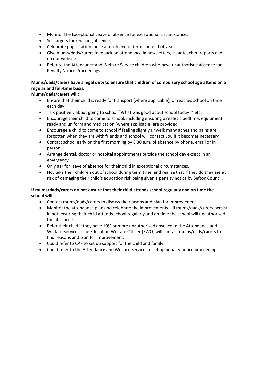- Monitor the Exceptional Leave of absence for exceptional circumstances
- Set targets for reducing absence.
- Celebrate pupils' attendance at each end of term and end of year.
- Give mums/dads/carers feedback on attendance in newsletters, Headteacher' reports and on our website.
- Refer to the Attendance and Welfare Service children who have unauthorised absence for Penalty Notice Proceedings

## **Mums/dads/carers have a legal duty to ensure that children of compulsory school age attend on a regular and full-time basis.**

## **Mums/dads/carers will:**

- Ensure that their child is ready for transport (where applicable), or reaches school on time each day
- Talk positively about going to school "What was good about school today?" etc.
- Encourage their child to come to school, including ensuring a realistic bedtime, equipment ready and uniform and medication (where applicable) are provided
- Encourage a child to come to school if feeling slightly unwell; many aches and pains are forgotten when they are with friends and school will contact you if it becomes necessary
- Contact school early on the first morning by 8.30 a.m. of absence by phone, email or in person.
- Arrange dental, doctor or hospital appointments outside the school day except in an emergency.
- Only ask for leave of absence for their child in exceptional circumstances,
- Not take their children out of school during term time, and realize that if they do they are at risk of damaging their child's education risk being given a penalty notice by Sefton Council.

## **If mums/dads/carers do not ensure that their child attends school regularly and on time the school will:**

- Contact mums/dads/carers to discuss the reasons and plan for improvement.
- Monitor the attendance plan and celebrate the improvements. If mums/dads/carers persist in not ensuring their child attends school regularly and on time the school will unauthorised the absence :
- Refer their child if they have 10% or more unauthorised absence to the Attendance and Welfare Service. The Education Welfare Officer [EWO} will contact mums/dads/carers to find reasons and plan for improvement.
- Could refer to CAF to set up support for the child and family
- Could refer to the Attendance and Welfare Service to set up penalty notice proceedings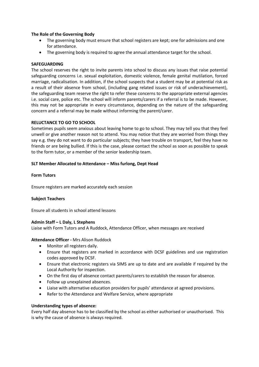## **The Role of the Governing Body**

- The governing body must ensure that school registers are kept; one for admissions and one for attendance.
- The governing body is required to agree the annual attendance target for the school.

## **SAFEGUARDING**

The school reserves the right to invite parents into school to discuss any issues that raise potential safeguarding concerns i.e. sexual exploitation, domestic violence, female genital mutilation, forced marriage, radicalisation. In addition, if the school suspects that a student may be at potential risk as a result of their absence from school, (including gang related issues or risk of underachievement), the safeguarding team reserve the right to refer these concerns to the appropriate external agencies i.e. social care, police etc. The school will inform parents/carers if a referral is to be made. However, this may not be appropriate in every circumstance, depending on the nature of the safeguarding concern and a referral may be made without informing the parent/carer.

## **RELUCTANCE TO GO TO SCHOOL**

Sometimes pupils seem anxious about leaving home to go to school. They may tell you that they feel unwell or give another reason not to attend. You may notice that they are worried from things they say e.g. they do not want to do particular subjects; they have trouble on transport, feel they have no friends or are being bullied. If this is the case, please contact the school as soon as possible to speak to the form tutor, or a member of the senior leadership team.

## **SLT Member Allocated to Attendance – Miss furlong, Dept Head**

## **Form Tutors**

Ensure registers are marked accurately each session

## **Subject Teachers**

Ensure all students in school attend lessons

## **Admin Staff – L Daly, L Stephens**

Liaise with Form Tutors and A Ruddock, Attendance Officer, when messages are received

**Attendance Officer -** Mrs Alison Ruddock

- Monitor all registers daily.
- Ensure that registers are marked in accordance with DCSF guidelines and use registration codes approved by DCSF.
- Ensure that electronic registers via SIMS are up to date and are available if required by the Local Authority for inspection.
- On the first day of absence contact parents/carers to establish the reason for absence.
- Follow up unexplained absences.
- Liaise with alternative education providers for pupils' attendance at agreed provisions.
- Refer to the Attendance and Welfare Service, where appropriate

## **Understanding types of absence:**

Every half day absence has to be classified by the school as either authorised or unauthorised. This is why the cause of absence is always required.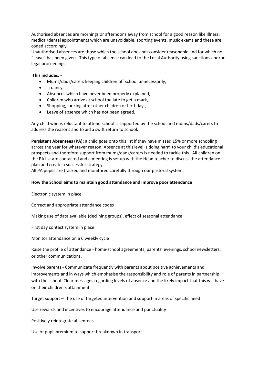Authorised absences are mornings or afternoons away from school for a good reason like illness, medical/dental appointments which are unavoidable, sporting events, music exams and these are coded accordingly.

Unauthorised absences are those which the school does not consider reasonable and for which no "leave" has been given. This type of absence can lead to the Local Authority using sanctions and/or legal proceedings.

## **This includes: -**

- Mums/dads/carers keeping children off school unnecessarily,
- Truancy,
- Absences which have never been properly explained,
- Children who arrive at school too late to get a mark,
- Shopping, looking after other children or birthdays,
- Leave of absence which has not been agreed.

Any child who is reluctant to attend school is supported by the school and mums/dads/carers to address the reasons and to aid a swift return to school.

**Persistent Absentees (PA):** a child goes onto this list if they have missed 15% or more schooling across the year for whatever reason. Absence at this level is doing harm to your child's educational prospects and therefore support from mums/dads/carers is needed to tackle this. All children on the PA list are contacted and a meeting is set up with the Head teacher to discuss the attendance plan and create a successful strategy.

All PA pupils are tracked and monitored carefully through our pastoral system.

## **How the School aims to maintain good attendance and improve poor attendance**

Electronic system in place

Correct and appropriate attendance codes

Making use of data available (declining groups), effect of seasonal attendance

First day contact system in place

Monitor attendance on a 6 weekly cycle

Raise the profile of attendance - home-school agreements, parents' evenings, school newsletters, or other communications.

Involve parents - Communicate frequently with parents about positive achievements and improvements and in ways which emphasise the responsibility and role of parents in partnership with the school. Clear messages regarding levels of absence and the likely impact that this will have on their children's attainment

Target support – The use of targeted intervention and support in areas of specific need

Use rewards and incentives to encourage attendance and punctuality

Positively reintegrate absentees

Use of pupil premium to support breakdown in transport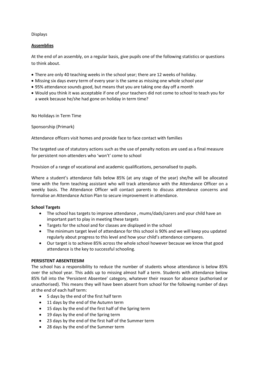## Displays

## **Assemblies**

At the end of an assembly, on a regular basis, give pupils one of the following statistics or questions to think about.

- There are only 40 teaching weeks in the school year; there are 12 weeks of holiday.
- Missing six days every term of every year is the same as missing one whole school year
- 95% attendance sounds good, but means that you are taking one day off a month
- Would you think it was acceptable if one of your teachers did not come to school to teach you for a week because he/she had gone on holiday in term time?

No Holidays in Term Time

Sponsorship (Primark)

Attendance officers visit homes and provide face to face contact with families

The targeted use of statutory actions such as the use of penalty notices are used as a final measure for persistent non-attenders who 'won't' come to school

Provision of a range of vocational and academic qualifications, personalised to pupils.

Where a student's attendance falls below 85% (at any stage of the year) she/he will be allocated time with the form teaching assistant who will track attendance with the Attendance Officer on a weekly basis. The Attendance Officer will contact parents to discuss attendance concerns and formalise an Attendance Action Plan to secure improvement in attendance.

## **School Targets**

- The school has targets to improve attendance , mums/dads/carers and your child have an important part to play in meeting these targets
- Targets for the school and for classes are displayed in the school
- The minimum target level of attendance for this school is 90% and we will keep you updated regularly about progress to this level and how your child's attendance compares.
- Our target is to achieve 85% across the whole school however because we know that good attendance is the key to successful schooling.

## **PERSISTENT ABSENTEESIM**

The school has a responsibility to reduce the number of students whose attendance is below 85% over the school year. This adds up to missing almost half a term. Students with attendance below 85% fall into the 'Persistent Absentee' category, whatever their reason for absence (authorised or unauthorised). This means they will have been absent from school for the following number of days at the end of each half term:

- 5 days by the end of the first half term
- 11 days by the end of the Autumn term
- 15 days by the end of the first half of the Spring term
- 19 days by the end of the Spring term
- 23 days by the end of the first half of the Summer term
- 28 days by the end of the Summer term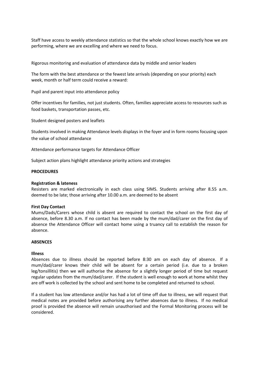Staff have access to weekly attendance statistics so that the whole school knows exactly how we are performing, where we are excelling and where we need to focus.

Rigorous monitoring and evaluation of attendance data by middle and senior leaders

The form with the best attendance or the fewest late arrivals (depending on your priority) each week, month or half term could receive a reward:

Pupil and parent input into attendance policy

Offer incentives for families, not just students. Often, families appreciate access to resources such as food baskets, transportation passes, etc.

Student designed posters and leaflets

Students involved in making Attendance levels displays in the foyer and in form rooms focusing upon the value of school attendance

Attendance performance targets for Attendance Officer

Subject action plans highlight attendance priority actions and strategies

#### **PROCEDURES**

#### **Registration & lateness**

Resisters are marked electronically in each class using SIMS. Students arriving after 8.55 a.m. deemed to be late; those arriving after 10.00 a.m. are deemed to be absent

#### **First Day Contact**

Mums/Dads/Carers whose child is absent are required to contact the school on the first day of absence, before 8.30 a.m. If no contact has been made by the mum/dad/carer on the first day of absence the Attendance Officer will contact home using a truancy call to establish the reason for absence.

## **ABSENCES**

#### **Illness**

Absences due to illness should be reported before 8:30 am on each day of absence. If a mum/dad/carer knows their child will be absent for a certain period (i.e. due to a broken leg/tonsillitis) then we will authorise the absence for a slightly longer period of time but request regular updates from the mum/dad/carer. If the student is well enough to work at home whilst they are off work is collected by the school and sent home to be completed and returned to school.

If a student has low attendance and/or has had a lot of time off due to illness, we will request that medical notes are provided before authorising any further absences due to illness. If no medical proof is provided the absence will remain unauthorised and the Formal Monitoring process will be considered.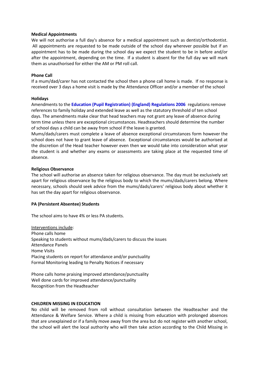#### **Medical Appointments**

We will not authorise a full day's absence for a medical appointment such as dentist/orthodontist. All appointments are requested to be made outside of the school day wherever possible but if an appointment has to be made during the school day we expect the student to be in before and/or after the appointment, depending on the time. If a student is absent for the full day we will mark them as unauthorised for either the AM or PM roll call.

#### **Phone Call**

If a mum/dad/carer has not contacted the school then a phone call home is made. If no response is received over 3 days a home visit is made by the Attendance Officer and/or a member of the school

#### **Holidays**

Amendments to the **[Education \(Pupil Registration\) \(England\) Regulations 2006](http://www.legislation.gov.uk/uksi/2006/1751/contents/made)** regulations remove references to family holiday and extended leave as well as the statutory threshold of ten school days. The amendments make clear that head teachers may not grant any leave of absence during term time unless there are exceptional circumstances. Headteachers should determine the number of school days a child can be away from school if the leave is granted.

Mums/dads/carers must complete a leave of absence exceptional circumstances form however the school does not have to grant leave of absence. Exceptional circumstances would be authorised at the discretion of the Head teacher however even then we would take into consideration what year the student is and whether any exams or assessments are taking place at the requested time of absence.

#### **Religious Observance**

The school will authorise an absence taken for religious observance. The day must be exclusively set apart for religious observance by the religious body to which the mums/dads/carers belong. Where necessary, schools should seek advice from the mums/dads/carers' religious body about whether it has set the day apart for religious observance.

## **PA (Persistent Absentee) Students**

The school aims to have 4% or less PA students.

Interventions include: Phone calls home Speaking to students without mums/dads/carers to discuss the issues Attendance Panels Home Visits Placing students on report for attendance and/or punctuality Formal Monitoring leading to Penalty Notices if necessary

Phone calls home praising improved attendance/punctuality Well done cards for improved attendance/punctuality Recognition from the Headteacher

#### **CHILDREN MISSING IN EDUCATION**

No child will be removed from roll without consultation between the Headteacher and the Attendance & Welfare Service. Where a child is missing from education with prolonged absences that are unexplained or if a family move away from the area but do not register with another school, the school will alert the local authority who will then take action according to the Child Missing in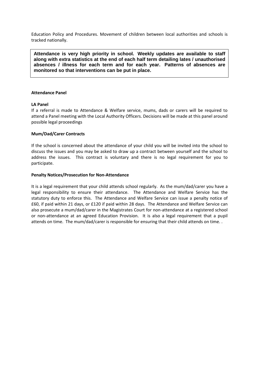Education Policy and Procedures. Movement of children between local authorities and schools is tracked nationally.

**Attendance is very high priority in school. Weekly updates are available to staff along with extra statistics at the end of each half term detailing lates / unauthorised absences / illness for each term and for each year. Patterns of absences are monitored so that interventions can be put in place.** 

#### **Attendance Panel**

## **LA Panel**

If a referral is made to Attendance & Welfare service, mums, dads or carers will be required to attend a Panel meeting with the Local Authority Officers. Decisions will be made at this panel around possible legal proceedings

#### **Mum/Dad/Carer Contracts**

If the school is concerned about the attendance of your child you will be invited into the school to discuss the issues and you may be asked to draw up a contract between yourself and the school to address the issues. This contract is voluntary and there is no legal requirement for you to participate.

#### **Penalty Notices/Prosecution for Non-Attendance**

It is a legal requirement that your child attends school regularly. As the mum/dad/carer you have a legal responsibility to ensure their attendance. The Attendance and Welfare Service has the statutory duty to enforce this. The Attendance and Welfare Service can issue a penalty notice of £60, if paid within 21 days, or £120 if paid within 28 days. The Attendance and Welfare Service can also prosecute a mum/dad/carer in the Magistrates Court for non-attendance at a registered school or non-attendance at an agreed Education Provision. It is also a legal requirement that a pupil attends on time. The mum/dad/carer is responsible for ensuring that their child attends on time. .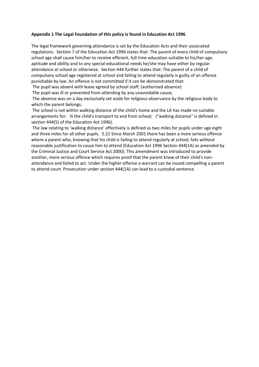## **Appendix 1 The Legal Foundation of this policy is found in Education Act 1996**

The legal framework governing attendance is set by the Education Acts and their associated regulations. Section 7 of the Education Act 1996 states that: The parent of every child of compulsory school age shall cause him/her to receive efficient, full time education suitable to his/her age, aptitude and ability and to any special educational needs he/she may have either by regular attendance at school or otherwise. Section 444 further states that: The parent of a child of compulsory school age registered at school and failing to attend regularly is guilty of an offence punishable by law. An offence is not committed if it can be demonstrated that:

The pupil was absent with leave agreed by school staff; (authorised absence)

The pupil was ill or prevented from attending by any unavoidable cause;

The absence was on a day exclusively set aside for religious observance by the religious body to which the parent belongs;

The school is not within walking distance of the child's home and the LA has made no suitable arrangements for: ¾ the child's transport to and from school; ("walking distance" is defined in section 444(5) of the Education Act 1996).

The law relating to 'walking distance' effectively is defined as two miles for pupils under age eight and three miles for all other pupils. 5.21 Since March 2001 there has been a more serious offence where a parent who, knowing that his child is failing to attend regularly at school, fails without reasonable justification to cause him to attend (Education Act 1996 Section 444(1A) as amended by the Criminal Justice and Court Service Act 2000). This amendment was introduced to provide another, more serious offence which requires proof that the parent knew of their child's nonattendance and failed to act. Under the higher offence a warrant can be issued compelling a parent to attend court. Prosecution under section 444(1A) can lead to a custodial sentence.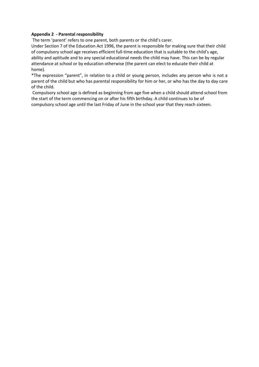## **Appendix 2 - Parental responsibility**

The term 'parent' refers to one parent, both parents or the child's carer.

Under Section 7 of the Education Act 1996, the parent is responsible for making sure that their child of compulsory school age receives efficient full-time education that is suitable to the child's age, ability and aptitude and to any special educational needs the child may have. This can be by regular attendance at school or by education otherwise (the parent can elect to educate their child at home).

\*The expression "parent", in relation to a child or young person, includes any person who is not a parent of the child but who has parental responsibility for him or her, or who has the day to day care of the child.

Compulsory school age is defined as beginning from age five when a child should attend school from the start of the term commencing on or after his fifth birthday. A child continues to be of compulsory school age until the last Friday of June in the school year that they reach sixteen.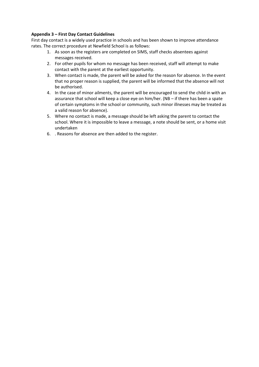## **Appendix 3 – First Day Contact Guidelines**

First day contact is a widely used practice in schools and has been shown to improve attendance rates. The correct procedure at Newfield School is as follows:

- 1. As soon as the registers are completed on SIMS, staff checks absentees against messages received.
- 2. For other pupils for whom no message has been received, staff will attempt to make contact with the parent at the earliest opportunity.
- 3. When contact is made, the parent will be asked for the reason for absence. In the event that no proper reason is supplied, the parent will be informed that the absence will not be authorised.
- 4. In the case of minor ailments, the parent will be encouraged to send the child in with an assurance that school will keep a close eye on him/her. (NB – if there has been a spate of certain symptoms in the school or community, such minor illnesses may be treated as a valid reason for absence).
- 5. Where no contact is made, a message should be left asking the parent to contact the school. Where it is impossible to leave a message, a note should be sent, or a home visit undertaken
- 6. . Reasons for absence are then added to the register.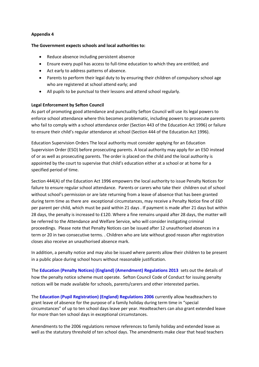## **Appendix 4**

## **The Government expects schools and local authorities to:**

- Reduce absence including persistent absence
- Ensure every pupil has access to full-time education to which they are entitled; and
- Act early to address patterns of absence.
- Parents to perform their legal duty to by ensuring their children of compulsory school age who are registered at school attend early; and
- All pupils to be punctual to their lessons and attend school regularly.

## **Legal Enforcement by Sefton Council**

As part of promoting good attendance and punctuality Sefton Council will use its legal powers to enforce school attendance where this becomes problematic, including powers to prosecute parents who fail to comply with a school attendance order (Section 443 of the Education Act 1996) or failure to ensure their child's regular attendance at school (Section 444 of the Education Act 1996).

Education Supervision Orders The local authority must consider applying for an Education Supervision Order (ESO) before prosecuting parents. A local authority may apply for an ESO instead of or as well as prosecuting parents. The order is placed on the child and the local authority is appointed by the court to supervise that child's education either at a school or at home for a specified period of time.

Section 444(A) of the Education Act 1996 empowers the local authority to issue Penalty Notices for failure to ensure regular school attendance. Parents or carers who take their children out of school without school's permission or are late returning from a leave of absence that has been granted during term time as there are exceptional circumstances, may receive a Penalty Notice fine of £60 per parent per child, which must be paid within 21 days . If payment is made after 21 days but within 28 days, the penalty is increased to £120. Where a fine remains unpaid after 28 days, the matter will be referred to the Attendance and Welfare Service, who will consider instigating criminal proceedings. Please note that Penalty Notices can be issued after 12 unauthorised absences in a term or 20 in two consecutive terms. . Children who are late without good reason after registration closes also receive an unauthorised absence mark.

In addition, a penalty notice and may also be issued where parents allow their children to be present in a public place during school hours without reasonable justification.

The **[Education \(Penalty Notices\) \(England\) \(Amendment\) Regulations 2013](http://www.legislation.gov.uk/uksi/2013/757/contents/made)** sets out the details of how the penalty notice scheme must operate. Sefton Council Code of Conduct for issuing penalty notices will be made available for schools, parents/carers and other interested parties.

The **[Education \(Pupil Registration\) \(England\) Regulations 2006](http://www.legislation.gov.uk/uksi/2006/1751/contents/made)** currently allow headteachers to grant leave of absence for the purpose of a family holiday during term time in "special circumstances" of up to ten school days leave per year. Headteachers can also grant extended leave for more than ten school days in exceptional circumstances.

Amendments to the 2006 regulations remove references to family holiday and extended leave as well as the statutory threshold of ten school days. The amendments make clear that head teachers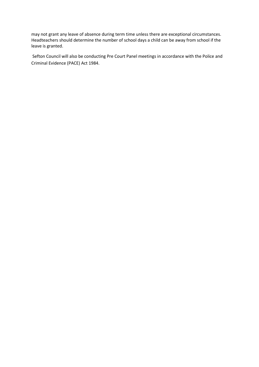may not grant any leave of absence during term time unless there are exceptional circumstances. Headteachers should determine the number of school days a child can be away from school if the leave is granted.

Sefton Council will also be conducting Pre Court Panel meetings in accordance with the Police and Criminal Evidence (PACE) Act 1984.